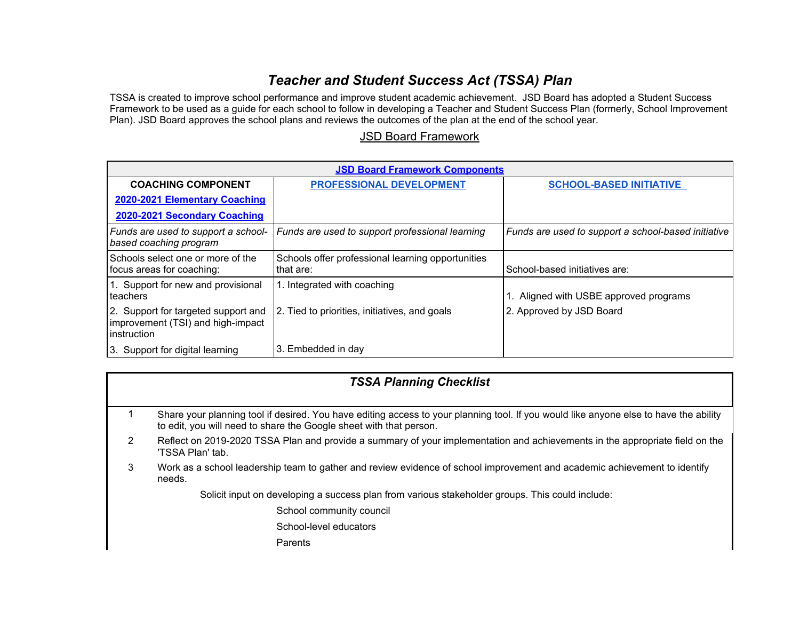## *Teacher and Student Success Act (TSSA) Plan*

TSSA is created to improve school performance and improve student academic achievement. JSD Board has adopted a Student Success Framework to be used as a guide for each school to follow in developing a Teacher and Student Success Plan (formerly, School Improvement Plan). JSD Board approves the school plans and reviews the outcomes of the plan at the end of the school year.

## [JSD Board Framework](https://docs.google.com/document/d/151jjPNaWfsdpzOHRumUdUG_b1srAHS389dVVQWNPs0Y/edit?usp=sharing)

| <b>JSD Board Framework Components</b>                                                   |                                                                |                                                     |
|-----------------------------------------------------------------------------------------|----------------------------------------------------------------|-----------------------------------------------------|
| <b>COACHING COMPONENT</b>                                                               | <b>PROFESSIONAL DEVELOPMENT</b>                                | <b>SCHOOL-BASED INITIATIVE</b>                      |
| 2020-2021 Elementary Coaching                                                           |                                                                |                                                     |
| 2020-2021 Secondary Coaching                                                            |                                                                |                                                     |
| Funds are used to support a school-<br>based coaching program                           | Funds are used to support professional learning                | Funds are used to support a school-based initiative |
| Schools select one or more of the<br>focus areas for coaching:                          | Schools offer professional learning opportunities<br>that are: | School-based initiatives are:                       |
| 1. Support for new and provisional<br>teachers                                          | 1. Integrated with coaching                                    | Aligned with USBE approved programs                 |
| 2. Support for targeted support and<br>improvement (TSI) and high-impact<br>instruction | 2. Tied to priorities, initiatives, and goals                  | 2. Approved by JSD Board                            |
| 3. Support for digital learning                                                         | 3. Embedded in day                                             |                                                     |

## *TSSA Planning Checklist*

- 1 Share your planning tool if desired. You have editing access to your planning tool. If you would like anyone else to have the ability to edit, you will need to share the Google sheet with that person.
- 2 Reflect on 2019-2020 TSSA Plan and provide a summary of your implementation and achievements in the appropriate field on the 'TSSA Plan' tab.
- 3 Work as a school leadership team to gather and review evidence of school improvement and academic achievement to identify needs.

Solicit input on developing a success plan from various stakeholder groups. This could include:

School community council

School-level educators

Parents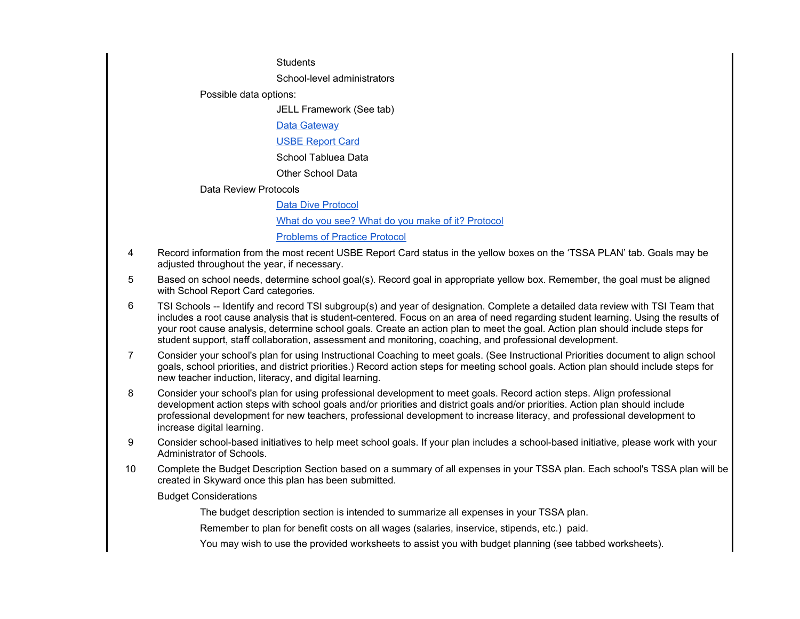**Students** 

School-level administrators

Possible data options:

JELL Framework (See tab)

[Data Gateway](https://datagateway.schools.utah.gov/)

[USBE Report Card](https://utahschoolgrades.schools.utah.gov/)

School Tabluea Data

Other School Data

Data Review Protocols

[Data Dive Protocol](https://drive.google.com/a/jordandistrict.org/file/d/1sNmg07T0do86-eO1h4fyXaoudKqBHLMF/view?usp=sharing) [What do you see? What do you make of it? Protocol](https://docs.google.com/document/d/1MNm3JzlLOfbg1MFbFEL03hR6O2Yjnt3uXeC50xDMo_0/edit?usp=sharing) [Problems of Practice Protocol](https://drive.google.com/a/jordandistrict.org/file/d/1S95wfiOnwiWI6thWEwWgGBZ0gGPBp5R5/view?usp=sharing)

- 4 Record information from the most recent USBE Report Card status in the yellow boxes on the 'TSSA PLAN' tab. Goals may be adjusted throughout the year, if necessary.
- 5 Based on school needs, determine school goal(s). Record goal in appropriate yellow box. Remember, the goal must be aligned with School Report Card categories.
- 6 TSI Schools -- Identify and record TSI subgroup(s) and year of designation. Complete a detailed data review with TSI Team that includes a root cause analysis that is student-centered. Focus on an area of need regarding student learning. Using the results of your root cause analysis, determine school goals. Create an action plan to meet the goal. Action plan should include steps for student support, staff collaboration, assessment and monitoring, coaching, and professional development.
- 7 Consider your school's plan for using Instructional Coaching to meet goals. (See Instructional Priorities document to align school goals, school priorities, and district priorities.) Record action steps for meeting school goals. Action plan should include steps for new teacher induction, literacy, and digital learning.
- 8 Consider your school's plan for using professional development to meet goals. Record action steps. Align professional development action steps with school goals and/or priorities and district goals and/or priorities. Action plan should include professional development for new teachers, professional development to increase literacy, and professional development to increase digital learning.
- 9 Consider school-based initiatives to help meet school goals. If your plan includes a school-based initiative, please work with your Administrator of Schools.
- 10 Complete the Budget Description Section based on a summary of all expenses in your TSSA plan. Each school's TSSA plan will be created in Skyward once this plan has been submitted.

Budget Considerations

The budget description section is intended to summarize all expenses in your TSSA plan.

Remember to plan for benefit costs on all wages (salaries, inservice, stipends, etc.) paid.

You may wish to use the provided worksheets to assist you with budget planning (see tabbed worksheets).